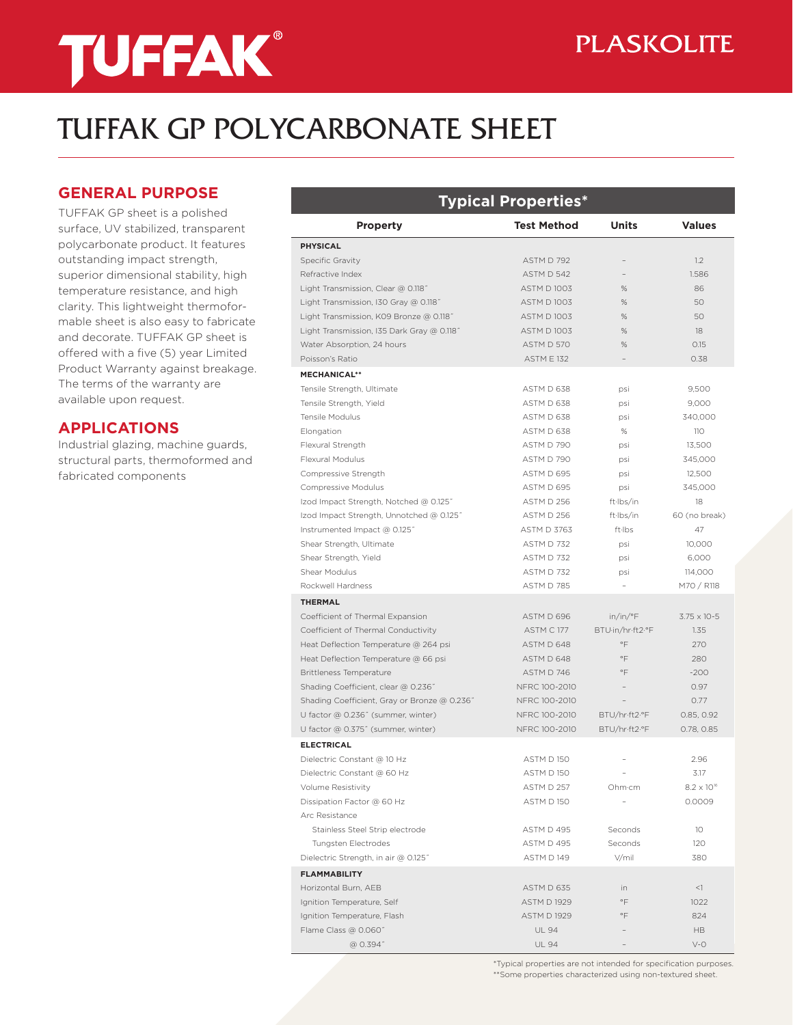# **TUFFAK®**

### **PLASKOLITE**

## TUFFAK GP POLYCARBONATE SHEET

#### **GENERAL PURPOSE**

TUFFAK GP sheet is a polished surface, UV stabilized, transparent polycarbonate product. It features outstanding impact strength, superior dimensional stability, high temperature resistance, and high clarity. This lightweight thermoformable sheet is also easy to fabricate and decorate. TUFFAK GP sheet is offered with a five (5) year Limited Product Warranty against breakage. The terms of the warranty are available upon request.

#### **APPLICATIONS**

Industrial glazing, machine guards, structural parts, thermoformed and fabricated components

| <b>Typical Properties*</b>                   |                    |                  |                      |  |  |  |
|----------------------------------------------|--------------------|------------------|----------------------|--|--|--|
| <b>Property</b>                              | <b>Test Method</b> | Units            | <b>Values</b>        |  |  |  |
| <b>PHYSICAL</b>                              |                    |                  |                      |  |  |  |
| Specific Gravity                             | ASTM D 792         |                  | 1.2                  |  |  |  |
| Refractive Index                             | ASTM D 542         |                  | 1.586                |  |  |  |
| Light Transmission, Clear @ 0.118"           | <b>ASTM D 1003</b> | %                | 86                   |  |  |  |
| Light Transmission, I30 Gray @ 0.118"        | <b>ASTM D 1003</b> | $\%$             | 50                   |  |  |  |
| Light Transmission, K09 Bronze @ 0.118"      | <b>ASTM D 1003</b> | %                | 50                   |  |  |  |
| Light Transmission, I35 Dark Gray @ 0.118"   | <b>ASTM D1003</b>  | %                | 18                   |  |  |  |
| Water Absorption, 24 hours                   | ASTM D 570         | %                | 0.15                 |  |  |  |
| Poisson's Ratio                              | <b>ASTM E 132</b>  |                  | 0.38                 |  |  |  |
| <b>MECHANICAL**</b>                          |                    |                  |                      |  |  |  |
| Tensile Strength, Ultimate                   | ASTM D 638         | psi              | 9,500                |  |  |  |
| Tensile Strength, Yield                      | ASTM D 638         | psi              | 9,000                |  |  |  |
| <b>Tensile Modulus</b>                       | ASTM D 638         | psi              | 340,000              |  |  |  |
| Elongation                                   | ASTM D 638         | %                | 110                  |  |  |  |
| Flexural Strength                            | ASTM D 790         | psi              | 13,500               |  |  |  |
| Flexural Modulus                             | ASTM D 790         | psi              | 345,000              |  |  |  |
| Compressive Strength                         | ASTM D 695         | psi              | 12,500               |  |  |  |
| Compressive Modulus                          | ASTM D 695         | psi              | 345,000              |  |  |  |
| Izod Impact Strength, Notched @ 0.125"       | ASTM D 256         | ft·lbs/in        | 18                   |  |  |  |
| Izod Impact Strength, Unnotched @ 0.125"     | ASTM D 256         | ft·lbs/in        | 60 (no break)        |  |  |  |
| Instrumented Impact @ 0.125"                 | <b>ASTM D 3763</b> | ft·lbs           | 47                   |  |  |  |
| Shear Strength, Ultimate                     | <b>ASTM D 732</b>  | psi              | 10.000               |  |  |  |
| Shear Strength, Yield                        | ASTM D 732         | psi              | 6,000                |  |  |  |
| Shear Modulus                                | ASTM D 732         | psi              | 114,000              |  |  |  |
| Rockwell Hardness                            | ASTM D 785         |                  | M70 / R118           |  |  |  |
| <b>THERMAL</b>                               |                    |                  |                      |  |  |  |
| Coefficient of Thermal Expansion             | ASTM D 696         | in/in/°F         | $3.75 \times 10-5$   |  |  |  |
| Coefficient of Thermal Conductivity          | ASTM C177          | BTU·in/hr·ft2·°F | 1.35                 |  |  |  |
| Heat Deflection Temperature @ 264 psi        | ASTM D 648         | $\circ \vDash$   | 270                  |  |  |  |
| Heat Deflection Temperature @ 66 psi         | ASTM D 648         | °F               | 280                  |  |  |  |
| <b>Brittleness Temperature</b>               | ASTM D 746         | $\circ \vDash$   | $-200$               |  |  |  |
| Shading Coefficient, clear @ 0.236"          | NFRC 100-2010      |                  | 0.97                 |  |  |  |
| Shading Coefficient, Gray or Bronze @ 0.236" | NFRC 100-2010      |                  | 0.77                 |  |  |  |
| U factor @ 0.236" (summer, winter)           | NFRC 100-2010      | BTU/hr-ft2.°F    | 0.85, 0.92           |  |  |  |
| U factor @ 0.375" (summer, winter)           | NFRC 100-2010      | BTU/hr-ft2.°F    | 0.78, 0.85           |  |  |  |
| <b>ELECTRICAL</b>                            |                    |                  |                      |  |  |  |
| Dielectric Constant @ 10 Hz                  | ASTM D 150         |                  | 2.96                 |  |  |  |
| Dielectric Constant @ 60 Hz                  | ASTM D 150         |                  | 3.17                 |  |  |  |
| Volume Resistivity                           | ASTM D 257         | Ohm-cm           | $8.2 \times 10^{16}$ |  |  |  |
| Dissipation Factor @ 60 Hz                   | ASTM D150          |                  | 0.0009               |  |  |  |
| Arc Resistance                               |                    |                  |                      |  |  |  |
| Stainless Steel Strip electrode              | ASTM D 495         | Seconds          | 10                   |  |  |  |
| Tungsten Electrodes                          | ASTM D 495         | Seconds          | 120                  |  |  |  |
| Dielectric Strength, in air @ 0.125"         | ASTM D 149         | V/mil            | 380                  |  |  |  |
| <b>FLAMMABILITY</b>                          |                    |                  |                      |  |  |  |
| Horizontal Burn, AEB                         | ASTM D 635         | in               | <1                   |  |  |  |
| Ignition Temperature, Self                   | <b>ASTM D 1929</b> | $\circ \vDash$   | 1022                 |  |  |  |
| Ignition Temperature, Flash                  | <b>ASTM D 1929</b> | °F               | 824                  |  |  |  |
| Flame Class @ 0.060"                         | <b>UL 94</b>       |                  | <b>HB</b>            |  |  |  |
| @ 0.394"                                     | <b>UL 94</b>       |                  | $V - O$              |  |  |  |

\*Typical properties are not intended for specification purposes. \*\*Some properties characterized using non-textured sheet.